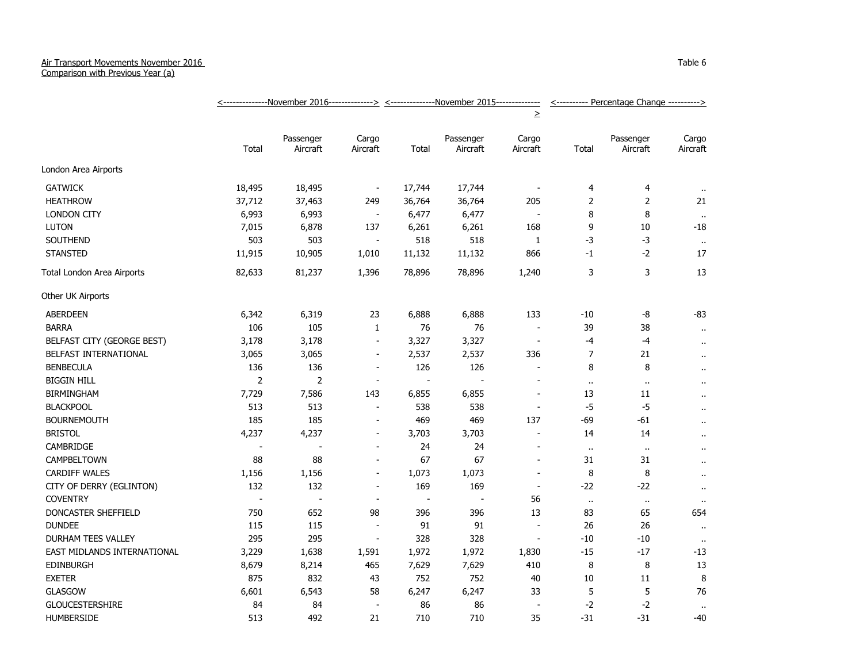## Air Transport Movements November 2016

Comparison with Previous Year (a)

|                             |                          | <--------------November 2016--------------> <--------------November 2015-------------- |                          |                          |                       |                          | <---------- Percentage Change ----------> |                       |                      |
|-----------------------------|--------------------------|----------------------------------------------------------------------------------------|--------------------------|--------------------------|-----------------------|--------------------------|-------------------------------------------|-----------------------|----------------------|
|                             |                          |                                                                                        |                          |                          |                       | $\geq$                   |                                           |                       |                      |
|                             | Total                    | Passenger<br>Aircraft                                                                  | Cargo<br>Aircraft        | Total                    | Passenger<br>Aircraft | Cargo<br>Aircraft        | Total                                     | Passenger<br>Aircraft | Cargo<br>Aircraft    |
| London Area Airports        |                          |                                                                                        |                          |                          |                       |                          |                                           |                       |                      |
| <b>GATWICK</b>              | 18,495                   | 18,495                                                                                 | $\overline{\phantom{a}}$ | 17,744                   | 17,744                | $\blacksquare$           | 4                                         | 4                     | $\cdot$ .            |
| <b>HEATHROW</b>             | 37,712                   | 37,463                                                                                 | 249                      | 36,764                   | 36,764                | 205                      | 2                                         | 2                     | 21                   |
| <b>LONDON CITY</b>          | 6,993                    | 6,993                                                                                  | $\blacksquare$           | 6,477                    | 6,477                 | $\overline{\phantom{a}}$ | 8                                         | 8                     | $\sim$               |
| <b>LUTON</b>                | 7,015                    | 6,878                                                                                  | 137                      | 6,261                    | 6,261                 | 168                      | 9                                         | 10                    | $-18$                |
| <b>SOUTHEND</b>             | 503                      | 503                                                                                    | $\overline{\phantom{a}}$ | 518                      | 518                   | $\mathbf{1}$             | $-3$                                      | $-3$                  | $\mathbf{H}$         |
| <b>STANSTED</b>             | 11,915                   | 10,905                                                                                 | 1,010                    | 11,132                   | 11,132                | 866                      | $-1$                                      | $-2$                  | 17                   |
| Total London Area Airports  | 82,633                   | 81,237                                                                                 | 1,396                    | 78,896                   | 78,896                | 1,240                    | 3                                         | 3                     | 13                   |
| Other UK Airports           |                          |                                                                                        |                          |                          |                       |                          |                                           |                       |                      |
| <b>ABERDEEN</b>             | 6,342                    | 6,319                                                                                  | 23                       | 6,888                    | 6,888                 | 133                      | $-10$                                     | -8                    | $-83$                |
| <b>BARRA</b>                | 106                      | 105                                                                                    | $\mathbf{1}$             | 76                       | 76                    | $\blacksquare$           | 39                                        | 38                    | $\mathbf{H}$         |
| BELFAST CITY (GEORGE BEST)  | 3,178                    | 3,178                                                                                  | $\overline{\phantom{a}}$ | 3,327                    | 3,327                 | $\overline{\phantom{a}}$ | $-4$                                      | $-4$                  | $\bullet$ .          |
| BELFAST INTERNATIONAL       | 3,065                    | 3,065                                                                                  | $\blacksquare$           | 2,537                    | 2,537                 | 336                      | $\overline{7}$                            | 21                    | $\bullet$ .          |
| <b>BENBECULA</b>            | 136                      | 136                                                                                    | $\overline{\phantom{a}}$ | 126                      | 126                   | ÷.                       | 8                                         | 8                     | $\ddot{\phantom{1}}$ |
| <b>BIGGIN HILL</b>          | $\overline{2}$           | $\overline{2}$                                                                         | $\sim$                   | $\overline{\phantom{a}}$ | $\overline{a}$        |                          | $\alpha$                                  | $\cdot$ .             | $\cdot$ .            |
| <b>BIRMINGHAM</b>           | 7,729                    | 7,586                                                                                  | 143                      | 6,855                    | 6,855                 | $\sim$                   | 13                                        | $11\,$                | $\ddot{\phantom{1}}$ |
| <b>BLACKPOOL</b>            | 513                      | 513                                                                                    | $\blacksquare$           | 538                      | 538                   | $\blacksquare$           | $-5$                                      | $-5$                  | $\bullet$ .          |
| <b>BOURNEMOUTH</b>          | 185                      | 185                                                                                    | $\overline{\phantom{a}}$ | 469                      | 469                   | 137                      | $-69$                                     | $-61$                 | $\cdot$ .            |
| <b>BRISTOL</b>              | 4,237                    | 4,237                                                                                  | $\overline{\phantom{a}}$ | 3,703                    | 3,703                 | $\sim$                   | 14                                        | 14                    | $\cdot$ .            |
| CAMBRIDGE                   | $\overline{\phantom{a}}$ | $\overline{\phantom{a}}$                                                               | $\overline{\phantom{a}}$ | 24                       | 24                    | $\overline{a}$           | $\ddot{\phantom{1}}$                      | $\alpha$              | $\bullet$ .          |
| <b>CAMPBELTOWN</b>          | 88                       | 88                                                                                     | $\blacksquare$           | 67                       | 67                    | $\overline{\phantom{a}}$ | 31                                        | 31                    | $\ddot{\phantom{1}}$ |
| <b>CARDIFF WALES</b>        | 1,156                    | 1,156                                                                                  | $\overline{a}$           | 1,073                    | 1,073                 | $\overline{\phantom{a}}$ | 8                                         | 8                     | $\ddot{\phantom{1}}$ |
| CITY OF DERRY (EGLINTON)    | 132                      | 132                                                                                    | $\blacksquare$           | 169                      | 169                   | $\sim$                   | $-22$                                     | $-22$                 | $\cdots$             |
| <b>COVENTRY</b>             |                          |                                                                                        |                          |                          |                       | 56                       | $\alpha$                                  | $\bullet$             | $\cdots$             |
| DONCASTER SHEFFIELD         | 750                      | 652                                                                                    | 98                       | 396                      | 396                   | 13                       | 83                                        | 65                    | 654                  |
| <b>DUNDEE</b>               | 115                      | 115                                                                                    | $\overline{\phantom{a}}$ | 91                       | 91                    | $\blacksquare$           | 26                                        | 26                    | $\cdot$ .            |
| DURHAM TEES VALLEY          | 295                      | 295                                                                                    | $\blacksquare$           | 328                      | 328                   | $\blacksquare$           | $-10$                                     | $-10$                 | $\mathbf{H}$         |
| EAST MIDLANDS INTERNATIONAL | 3,229                    | 1,638                                                                                  | 1,591                    | 1,972                    | 1,972                 | 1,830                    | $-15$                                     | $-17$                 | $-13$                |
| <b>EDINBURGH</b>            | 8,679                    | 8,214                                                                                  | 465                      | 7,629                    | 7,629                 | 410                      | 8                                         | 8                     | 13                   |
| <b>EXETER</b>               | 875                      | 832                                                                                    | 43                       | 752                      | 752                   | 40                       | 10                                        | 11                    | 8                    |
| <b>GLASGOW</b>              | 6,601                    | 6,543                                                                                  | 58                       | 6,247                    | 6,247                 | 33                       | 5                                         | 5                     | 76                   |
| <b>GLOUCESTERSHIRE</b>      | 84                       | 84                                                                                     | $\overline{\phantom{a}}$ | 86                       | 86                    |                          | $-2$                                      | $-2$                  | $\bullet$ .          |
| <b>HUMBERSIDE</b>           | 513                      | 492                                                                                    | 21                       | 710                      | 710                   | 35                       | $-31$                                     | $-31$                 | $-40$                |